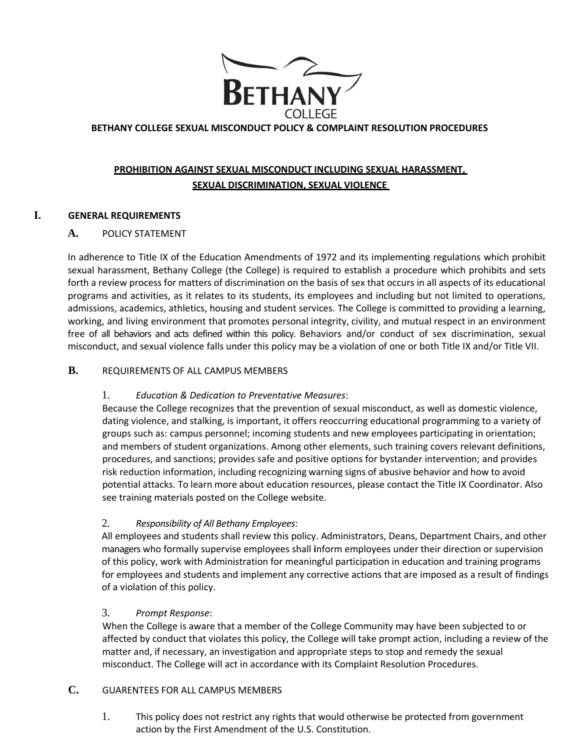

## **BETHANY COLLEGE SEXUAL MISCONDUCT POLICY & COMPLAINT RESOLUTION PROCEDURES**

# **PROHIBITION AGAINST SEXUAL MISCONDUCT INCLUDING SEXUAL HARASSMENT, SEXUAL DISCRIMINATION, SEXUAL VIOLENCE**

### **I. GENERAL REQUIREMENTS**

### **A.** POLICY STATEMENT

In adherence to Title IX of the Education Amendments of 1972 and its implementing regulations which prohibit sexual harassment, Bethany College (the College) is required to establish a procedure which prohibits and sets forth a review process for matters of discrimination on the basis of sex that occurs in all aspects of its educational programs and activities, as it relates to its students, its employees and including but not limited to operations, admissions, academics, athletics, housing and student services. The College is committed to providing a learning, working, and living environment that promotes personal integrity, civility, and mutual respect in an environment free of all behaviors and acts defined within this policy. Behaviors and/or conduct of sex discrimination, sexual misconduct, and sexual violence falls under this policy may be a violation of one or both Title IX and/or Title VII.

## **B.** REQUIREMENTS OF ALL CAMPUS MEMBERS

#### 1. *Education & Dedication to Preventative Measures*:

Because the College recognizes that the prevention of sexual misconduct, as well as domestic violence, dating violence, and stalking, is important, it offers reoccurring educational programming to a variety of groups such as: campus personnel; incoming students and new employees participating in orientation; and members of student organizations. Among other elements, such training covers relevant definitions, procedures, and sanctions; provides safe and positive options for bystander intervention; and provides risk reduction information, including recognizing warning signs of abusive behavior and how to avoid potential attacks. To learn more about education resources, please contact the Title IX Coordinator. Also see training materials posted on the College website.

## 2. *Responsibility of All Bethany Employees*:

All employees and students shall review this policy. Administrators, Deans, Department Chairs, and other managers who formally supervise employees shall **i**nform employees under their direction or supervision of this policy, work with Administration for meaningful participation in education and training programs for employees and students and implement any corrective actions that are imposed as a result of findings of a violation of this policy.

#### 3. *Prompt Response*:

When the College is aware that a member of the College Community may have been subjected to or affected by conduct that violates this policy, the College will take prompt action, including a review of the matter and, if necessary, an investigation and appropriate steps to stop and remedy the sexual misconduct. The College will act in accordance with its Complaint Resolution Procedures.

## **C.** GUARENTEES FOR ALL CAMPUS MEMBERS

1. This policy does not restrict any rights that would otherwise be protected from government action by the First Amendment of the U.S. Constitution.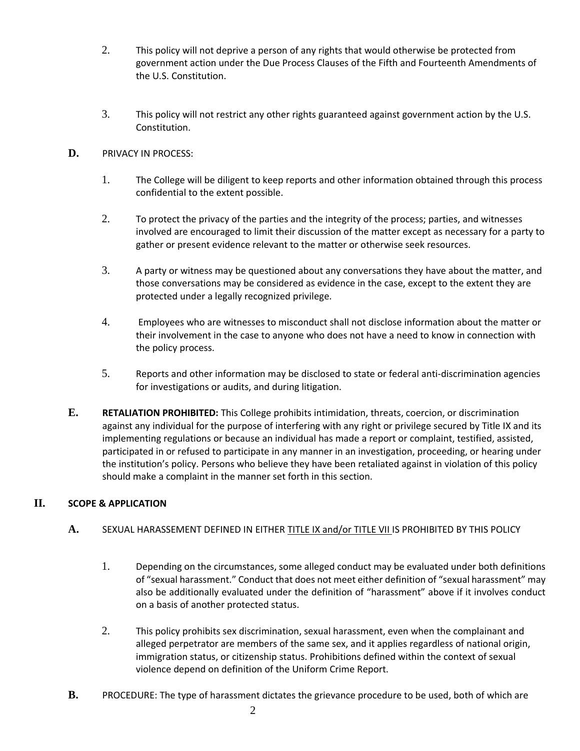- 2. This policy will not deprive a person of any rights that would otherwise be protected from government action under the Due Process Clauses of the Fifth and Fourteenth Amendments of the U.S. Constitution.
- 3. This policy will not restrict any other rights guaranteed against government action by the U.S. Constitution.

## **D.** PRIVACY IN PROCESS:

- 1. The College will be diligent to keep reports and other information obtained through this process confidential to the extent possible.
- 2. To protect the privacy of the parties and the integrity of the process; parties, and witnesses involved are encouraged to limit their discussion of the matter except as necessary for a party to gather or present evidence relevant to the matter or otherwise seek resources.
- 3. A party or witness may be questioned about any conversations they have about the matter, and those conversations may be considered as evidence in the case, except to the extent they are protected under a legally recognized privilege.
- 4. Employees who are witnesses to misconduct shall not disclose information about the matter or their involvement in the case to anyone who does not have a need to know in connection with the policy process.
- 5. Reports and other information may be disclosed to state or federal anti-discrimination agencies for investigations or audits, and during litigation.
- **E. RETALIATION PROHIBITED:** This College prohibits intimidation, threats, coercion, or discrimination against any individual for the purpose of interfering with any right or privilege secured by Title IX and its implementing regulations or because an individual has made a report or complaint, testified, assisted, participated in or refused to participate in any manner in an investigation, proceeding, or hearing under the institution's policy. Persons who believe they have been retaliated against in violation of this policy should make a complaint in the manner set forth in this section.

## **II. SCOPE & APPLICATION**

## **A.** SEXUAL HARASSEMENT DEFINED IN EITHER TITLE IX and/or TITLE VII IS PROHIBITED BY THIS POLICY

- 1. Depending on the circumstances, some alleged conduct may be evaluated under both definitions of "sexual harassment." Conduct that does not meet either definition of "sexual harassment" may also be additionally evaluated under the definition of "harassment" above if it involves conduct on a basis of another protected status.
- 2. This policy prohibits sex discrimination, sexual harassment, even when the complainant and alleged perpetrator are members of the same sex, and it applies regardless of national origin, immigration status, or citizenship status. Prohibitions defined within the context of sexual violence depend on definition of the Uniform Crime Report.
- **B.** PROCEDURE: The type of harassment dictates the grievance procedure to be used, both of which are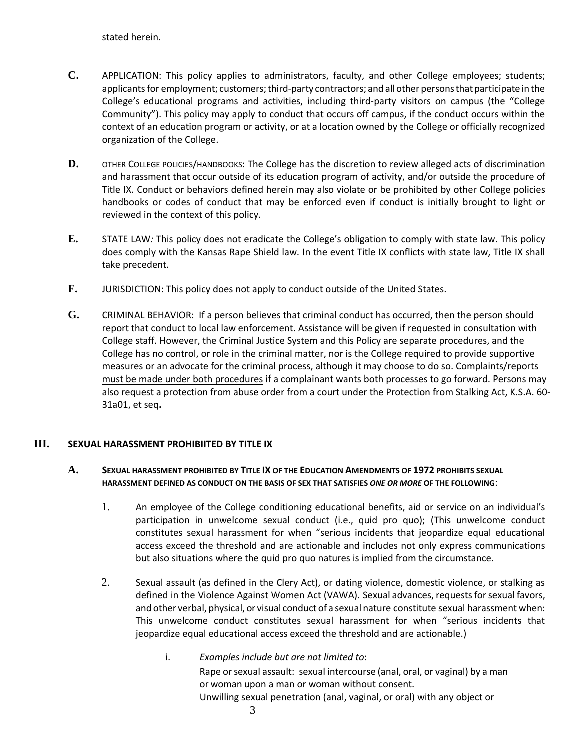stated herein.

- **C.** APPLICATION: This policy applies to administrators, faculty, and other College employees; students; applicants for employment; customers; third-party contractors; and all other persons that participate in the College's educational programs and activities, including third-party visitors on campus (the "College Community"). This policy may apply to conduct that occurs off campus, if the conduct occurs within the context of an education program or activity, or at a location owned by the College or officially recognized organization of the College.
- D. OTHER COLLEGE POLICIES/HANDBOOKS: The College has the discretion to review alleged acts of discrimination and harassment that occur outside of its education program of activity, and/or outside the procedure of Title IX. Conduct or behaviors defined herein may also violate or be prohibited by other College policies handbooks or codes of conduct that may be enforced even if conduct is initially brought to light or reviewed in the context of this policy.
- **E.** STATE LAW*:* This policy does not eradicate the College's obligation to comply with state law. This policy does comply with the Kansas Rape Shield law. In the event Title IX conflicts with state law, Title IX shall take precedent.
- **F.** JURISDICTION: This policy does not apply to conduct outside of the United States.
- **G.** CRIMINAL BEHAVIOR: If a person believes that criminal conduct has occurred, then the person should report that conduct to local law enforcement. Assistance will be given if requested in consultation with College staff. However, the Criminal Justice System and this Policy are separate procedures, and the College has no control, or role in the criminal matter, nor is the College required to provide supportive measures or an advocate for the criminal process, although it may choose to do so. Complaints/reports must be made under both procedures if a complainant wants both processes to go forward. Persons may also request a protection from abuse order from a court under the Protection from Stalking Act, K.S.A. 60- 31a01, et seq**.**

## **III. SEXUAL HARASSMENT PROHIBIITED BY TITLE IX**

### **A. SEXUAL HARASSMENT PROHIBITED BY TITLE IX OF THE EDUCATION AMENDMENTS OF 1972 PROHIBITS SEXUAL HARASSMENT DEFINED AS CONDUCT ON THE BASIS OF SEX THAT SATISFIES** *ONE OR MORE* **OF THE FOLLOWING**:

- 1. An employee of the College conditioning educational benefits, aid or service on an individual's participation in unwelcome sexual conduct (i.e., quid pro quo); (This unwelcome conduct constitutes sexual harassment for when "serious incidents that jeopardize equal educational access exceed the threshold and are actionable and includes not only express communications but also situations where the quid pro quo natures is implied from the circumstance.
- 2. Sexual assault (as defined in the Clery Act), or dating violence, domestic violence, or stalking as defined in the Violence Against Women Act (VAWA). Sexual advances, requests for sexual favors, and other verbal, physical, or visual conduct of a sexual nature constitute sexual harassment when: This unwelcome conduct constitutes sexual harassment for when "serious incidents that jeopardize equal educational access exceed the threshold and are actionable.)
	- i. *Examples include but are not limited to*: Rape or sexual assault: sexual intercourse (anal, oral, or vaginal) by a man or woman upon a man or woman without consent. Unwilling sexual penetration (anal, vaginal, or oral) with any object or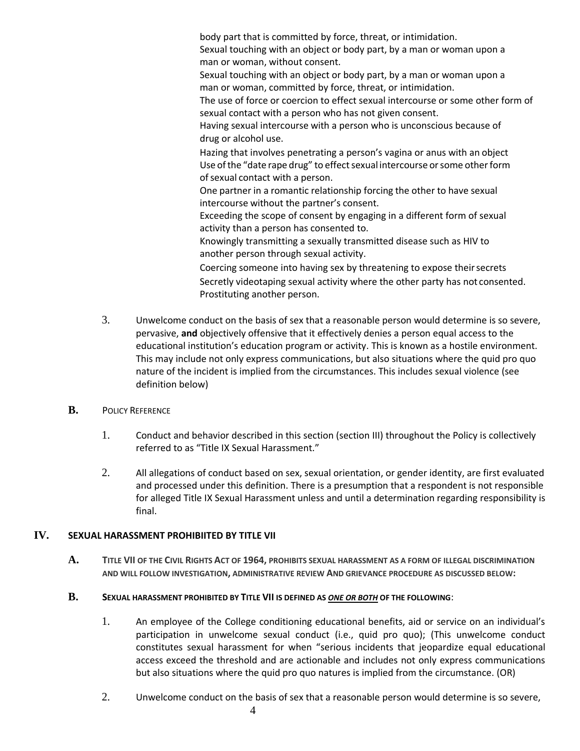body part that is committed by force, threat, or intimidation. Sexual touching with an object or body part, by a man or woman upon a man or woman, without consent. Sexual touching with an object or body part, by a man or woman upon a man or woman, committed by force, threat, or intimidation. The use of force or coercion to effect sexual intercourse or some other form of sexual contact with a person who has not given consent. Having sexual intercourse with a person who is unconscious because of drug or alcohol use. Hazing that involves penetrating a person's vagina or anus with an object Use of the "date rape drug" to effect sexual intercourse or some other form of sexual contact with a person. One partner in a romantic relationship forcing the other to have sexual intercourse without the partner's consent. Exceeding the scope of consent by engaging in a different form of sexual activity than a person has consented to. Knowingly transmitting a sexually transmitted disease such as HIV to another person through sexual activity. Coercing someone into having sex by threatening to expose their secrets Secretly videotaping sexual activity where the other party has not consented. Prostituting another person.

- 3. Unwelcome conduct on the basis of sex that a reasonable person would determine is so severe, pervasive, **and** objectively offensive that it effectively denies a person equal access to the educational institution's education program or activity. This is known as a hostile environment. This may include not only express communications, but also situations where the quid pro quo nature of the incident is implied from the circumstances. This includes sexual violence (see definition below)
- **B.** POLICY REFERENCE
	- 1. Conduct and behavior described in this section (section III) throughout the Policy is collectively referred to as "Title IX Sexual Harassment."
	- 2. All allegations of conduct based on sex, sexual orientation, or gender identity, are first evaluated and processed under this definition. There is a presumption that a respondent is not responsible for alleged Title IX Sexual Harassment unless and until a determination regarding responsibility is final.

## **IV. SEXUAL HARASSMENT PROHIBIITED BY TITLE VII**

**A. TITLE VII OF THE CIVIL RIGHTS ACT OF 1964, PROHIBITS SEXUAL HARASSMENT AS A FORM OF ILLEGAL DISCRIMINATION AND WILL FOLLOW INVESTIGATION, ADMINISTRATIVE REVIEW AND GRIEVANCE PROCEDURE AS DISCUSSED BELOW:**

#### **B. SEXUAL HARASSMENT PROHIBITED BY TITLE VII IS DEFINED AS** *ONE OR BOTH* **OF THE FOLLOWING**:

- 1. An employee of the College conditioning educational benefits, aid or service on an individual's participation in unwelcome sexual conduct (i.e., quid pro quo); (This unwelcome conduct constitutes sexual harassment for when "serious incidents that jeopardize equal educational access exceed the threshold and are actionable and includes not only express communications but also situations where the quid pro quo natures is implied from the circumstance. (OR)
- 2. Unwelcome conduct on the basis of sex that a reasonable person would determine is so severe,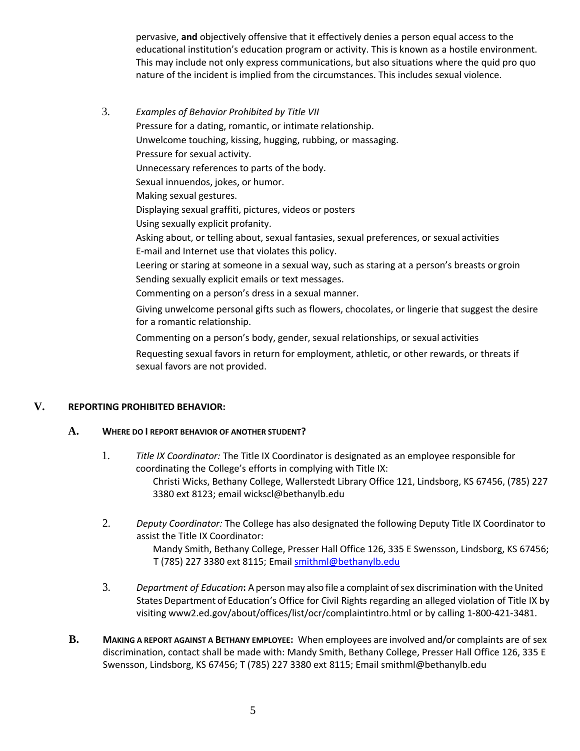pervasive, **and** objectively offensive that it effectively denies a person equal access to the educational institution's education program or activity. This is known as a hostile environment. This may include not only express communications, but also situations where the quid pro quo nature of the incident is implied from the circumstances. This includes sexual violence.

3. *Examples of Behavior Prohibited by Title VII* Pressure for a dating, romantic, or intimate relationship. Unwelcome touching, kissing, hugging, rubbing, or massaging. Pressure for sexual activity. Unnecessary references to parts of the body. Sexual innuendos, jokes, or humor. Making sexual gestures. Displaying sexual graffiti, pictures, videos or posters Using sexually explicit profanity. Asking about, or telling about, sexual fantasies, sexual preferences, or sexual activities E-mail and Internet use that violates this policy. Leering or staring at someone in a sexual way, such as staring at a person's breasts or groin Sending sexually explicit emails or text messages. Commenting on a person's dress in a sexual manner. Giving unwelcome personal gifts such as flowers, chocolates, or lingerie that suggest the desire for a romantic relationship. Commenting on a person's body, gender, sexual relationships, or sexual activities

Requesting sexual favors in return for employment, athletic, or other rewards, or threats if sexual favors are not provided.

## **V. REPORTING PROHIBITED BEHAVIOR:**

#### **A. WHERE DO I REPORT BEHAVIOR OF ANOTHER STUDENT?**

- 1. *Title IX Coordinator:* The Title IX Coordinator is designated as an employee responsible for coordinating the College's efforts in complying with Title IX: Christi Wicks, Bethany College, Wallerstedt Library Office 121, Lindsborg, KS 67456, (785) 227 3380 ext 8123; email wickscl@bethanylb.edu
- 2. *Deputy Coordinator:* The College has also designated the following Deputy Title IX Coordinator to assist the Title IX Coordinator: Mandy Smith, Bethany College, Presser Hall Office 126, 335 E Swensson, Lindsborg, KS 67456; T (785) 227 3380 ext 8115; Email [smithml@bethanylb.edu](mailto:smithml@bethanylb.edu)
- 3. *Department of Education***:** A person may also file a complaint ofsex discrimination with theUnited States Department of Education's Office for Civil Rights regarding an alleged violation of Title IX by visiting www2.ed.gov/about/offices/list/ocr/complaintintro.html or by calling 1-800-421-3481.
- **B. MAKING A REPORT AGAINST A BETHANY EMPLOYEE:** When employees are involved and/or complaints are of sex discrimination, contact shall be made with: Mandy Smith, Bethany College, Presser Hall Office 126, 335 E Swensson, Lindsborg, KS 67456; T (785) 227 3380 ext 8115; Email smithml@bethanylb.edu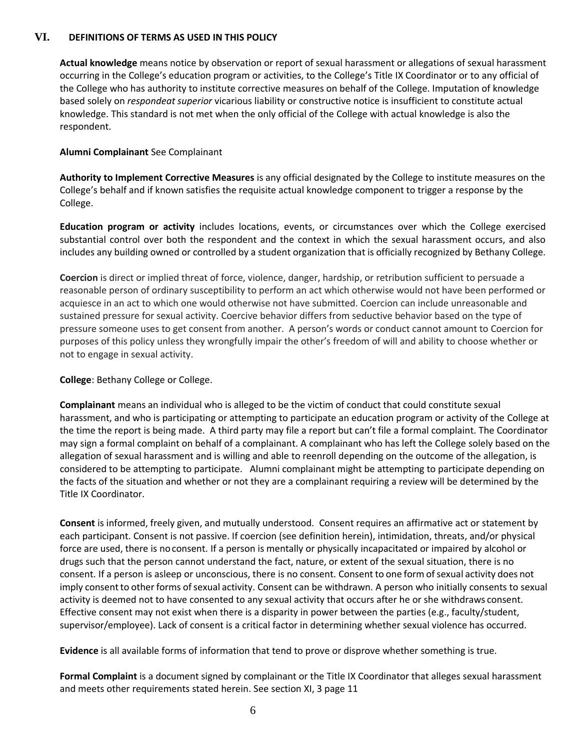#### **VI. DEFINITIONS OF TERMS AS USED IN THIS POLICY**

**Actual knowledge** means notice by observation or report of sexual harassment or allegations of sexual harassment occurring in the College's education program or activities, to the College's Title IX Coordinator or to any official of the College who has authority to institute corrective measures on behalf of the College. Imputation of knowledge based solely on *respondeat superior* vicarious liability or constructive notice is insufficient to constitute actual knowledge. This standard is not met when the only official of the College with actual knowledge is also the respondent.

#### **Alumni Complainant** See Complainant

**Authority to Implement Corrective Measures** is any official designated by the College to institute measures on the College's behalf and if known satisfies the requisite actual knowledge component to trigger a response by the College.

**Education program or activity** includes locations, events, or circumstances over which the College exercised substantial control over both the respondent and the context in which the sexual harassment occurs, and also includes any building owned or controlled by a student organization that is officially recognized by Bethany College.

**Coercion** is direct or implied threat of force, violence, danger, hardship, or retribution sufficient to persuade a reasonable person of ordinary susceptibility to perform an act which otherwise would not have been performed or acquiesce in an act to which one would otherwise not have submitted. Coercion can include unreasonable and sustained pressure for sexual activity. Coercive behavior differs from seductive behavior based on the type of pressure someone uses to get consent from another. A person's words or conduct cannot amount to Coercion for purposes of this policy unless they wrongfully impair the other's freedom of will and ability to choose whether or not to engage in sexual activity.

#### **College**: Bethany College or College.

**Complainant** means an individual who is alleged to be the victim of conduct that could constitute sexual harassment, and who is participating or attempting to participate an education program or activity of the College at the time the report is being made. A third party may file a report but can't file a formal complaint. The Coordinator may sign a formal complaint on behalf of a complainant. A complainant who has left the College solely based on the allegation of sexual harassment and is willing and able to reenroll depending on the outcome of the allegation, is considered to be attempting to participate. Alumni complainant might be attempting to participate depending on the facts of the situation and whether or not they are a complainant requiring a review will be determined by the Title IX Coordinator.

**Consent** is informed, freely given, and mutually understood. Consent requires an affirmative act or statement by each participant. Consent is not passive. If coercion (see definition herein), intimidation, threats, and/or physical force are used, there is noconsent. If a person is mentally or physically incapacitated or impaired by alcohol or drugs such that the person cannot understand the fact, nature, or extent of the sexual situation, there is no consent. If a person is asleep or unconscious, there is no consent. Consent to one form of sexual activity does not imply consent to other forms of sexual activity. Consent can be withdrawn. A person who initially consents to sexual activity is deemed not to have consented to any sexual activity that occurs after he or she withdraws consent. Effective consent may not exist when there is a disparity in power between the parties (e.g., faculty/student, supervisor/employee). Lack of consent is a critical factor in determining whether sexual violence has occurred.

**Evidence** is all available forms of information that tend to prove or disprove whether something is true.

**Formal Complaint** is a document signed by complainant or the Title IX Coordinator that alleges sexual harassment and meets other requirements stated herein. See section XI, 3 page 11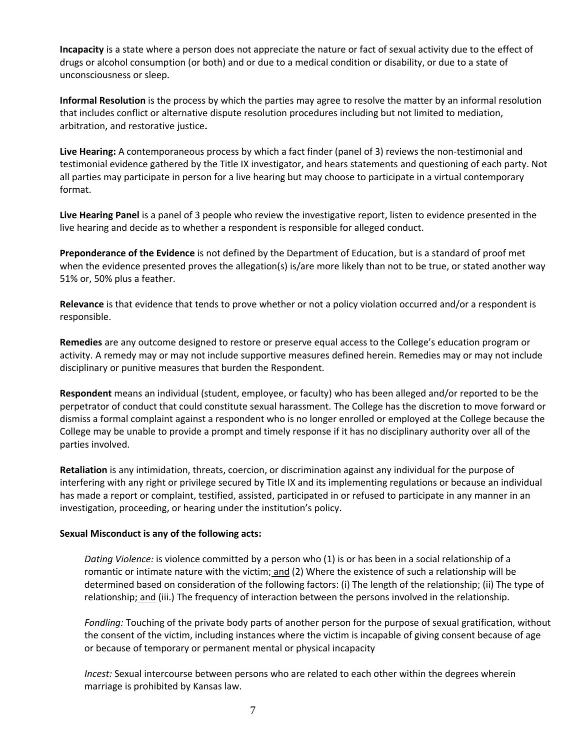**Incapacity** is a state where a person does not appreciate the nature or fact of sexual activity due to the effect of drugs or alcohol consumption (or both) and or due to a medical condition or disability, or due to a state of unconsciousness or sleep.

**Informal Resolution** is the process by which the parties may agree to resolve the matter by an informal resolution that includes conflict or alternative dispute resolution procedures including but not limited to mediation, arbitration, and restorative justice**.** 

**Live Hearing:** A contemporaneous process by which a fact finder (panel of 3) reviews the non-testimonial and testimonial evidence gathered by the Title IX investigator, and hears statements and questioning of each party. Not all parties may participate in person for a live hearing but may choose to participate in a virtual contemporary format.

**Live Hearing Panel** is a panel of 3 people who review the investigative report, listen to evidence presented in the live hearing and decide as to whether a respondent is responsible for alleged conduct.

**Preponderance of the Evidence** is not defined by the Department of Education, but is a standard of proof met when the evidence presented proves the allegation(s) is/are more likely than not to be true, or stated another way 51% or, 50% plus a feather.

**Relevance** is that evidence that tends to prove whether or not a policy violation occurred and/or a respondent is responsible.

**Remedies** are any outcome designed to restore or preserve equal access to the College's education program or activity. A remedy may or may not include supportive measures defined herein. Remedies may or may not include disciplinary or punitive measures that burden the Respondent.

**Respondent** means an individual (student, employee, or faculty) who has been alleged and/or reported to be the perpetrator of conduct that could constitute sexual harassment. The College has the discretion to move forward or dismiss a formal complaint against a respondent who is no longer enrolled or employed at the College because the College may be unable to provide a prompt and timely response if it has no disciplinary authority over all of the parties involved.

**Retaliation** is any intimidation, threats, coercion, or discrimination against any individual for the purpose of interfering with any right or privilege secured by Title IX and its implementing regulations or because an individual has made a report or complaint, testified, assisted, participated in or refused to participate in any manner in an investigation, proceeding, or hearing under the institution's policy.

#### **Sexual Misconduct is any of the following acts:**

*Dating Violence:* is violence committed by a person who (1) is or has been in a social relationship of a romantic or intimate nature with the victim; and (2) Where the existence of such a relationship will be determined based on consideration of the following factors: (i) The length of the relationship; (ii) The type of relationship; and (iii.) The frequency of interaction between the persons involved in the relationship.

*Fondling:* Touching of the private body parts of another person for the purpose of sexual gratification, without the consent of the victim, including instances where the victim is incapable of giving consent because of age or because of temporary or permanent mental or physical incapacity

*Incest:* Sexual intercourse between persons who are related to each other within the degrees wherein marriage is prohibited by Kansas law.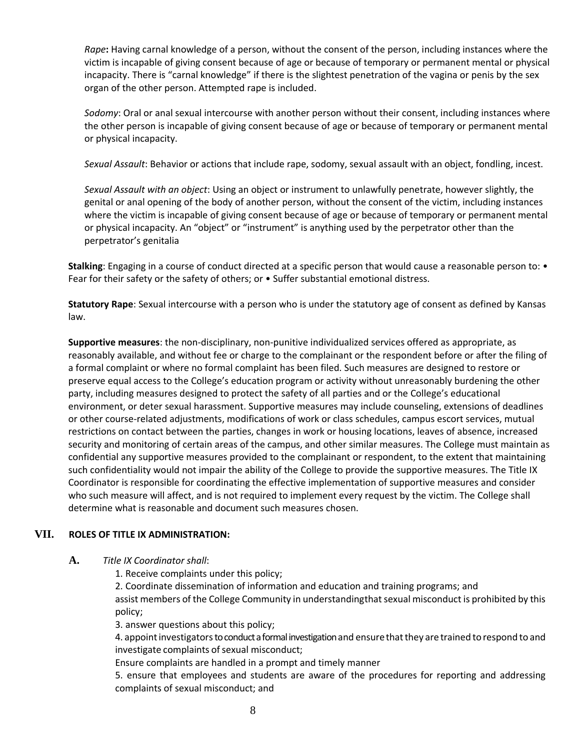*Rape***:** Having carnal knowledge of a person, without the consent of the person, including instances where the victim is incapable of giving consent because of age or because of temporary or permanent mental or physical incapacity. There is "carnal knowledge" if there is the slightest penetration of the vagina or penis by the sex organ of the other person. Attempted rape is included.

*Sodomy*: Oral or anal sexual intercourse with another person without their consent, including instances where the other person is incapable of giving consent because of age or because of temporary or permanent mental or physical incapacity.

*Sexual Assault*: Behavior or actions that include rape, sodomy, sexual assault with an object, fondling, incest.

*Sexual Assault with an object*: Using an object or instrument to unlawfully penetrate, however slightly, the genital or anal opening of the body of another person, without the consent of the victim, including instances where the victim is incapable of giving consent because of age or because of temporary or permanent mental or physical incapacity. An "object" or "instrument" is anything used by the perpetrator other than the perpetrator's genitalia

**Stalking**: Engaging in a course of conduct directed at a specific person that would cause a reasonable person to: • Fear for their safety or the safety of others; or • Suffer substantial emotional distress.

**Statutory Rape**: Sexual intercourse with a person who is under the statutory age of consent as defined by Kansas law.

**Supportive measures**: the non-disciplinary, non-punitive individualized services offered as appropriate, as reasonably available, and without fee or charge to the complainant or the respondent before or after the filing of a formal complaint or where no formal complaint has been filed. Such measures are designed to restore or preserve equal access to the College's education program or activity without unreasonably burdening the other party, including measures designed to protect the safety of all parties and or the College's educational environment, or deter sexual harassment. Supportive measures may include counseling, extensions of deadlines or other course-related adjustments, modifications of work or class schedules, campus escort services, mutual restrictions on contact between the parties, changes in work or housing locations, leaves of absence, increased security and monitoring of certain areas of the campus, and other similar measures. The College must maintain as confidential any supportive measures provided to the complainant or respondent, to the extent that maintaining such confidentiality would not impair the ability of the College to provide the supportive measures. The Title IX Coordinator is responsible for coordinating the effective implementation of supportive measures and consider who such measure will affect, and is not required to implement every request by the victim. The College shall determine what is reasonable and document such measures chosen.

## **VII. ROLES OF TITLE IX ADMINISTRATION:**

- **A.** *Title IX Coordinator shall*:
	- 1. Receive complaints under this policy;

2. Coordinate dissemination of information and education and training programs; and assist members of the College Community in understandingthat sexual misconduct is prohibited by this policy;

3. answer questions about this policy;

4. appoint investigators to conduct a formal investigation and ensure that they are trained to respond to and investigate complaints of sexual misconduct;

Ensure complaints are handled in a prompt and timely manner

5. ensure that employees and students are aware of the procedures for reporting and addressing complaints of sexual misconduct; and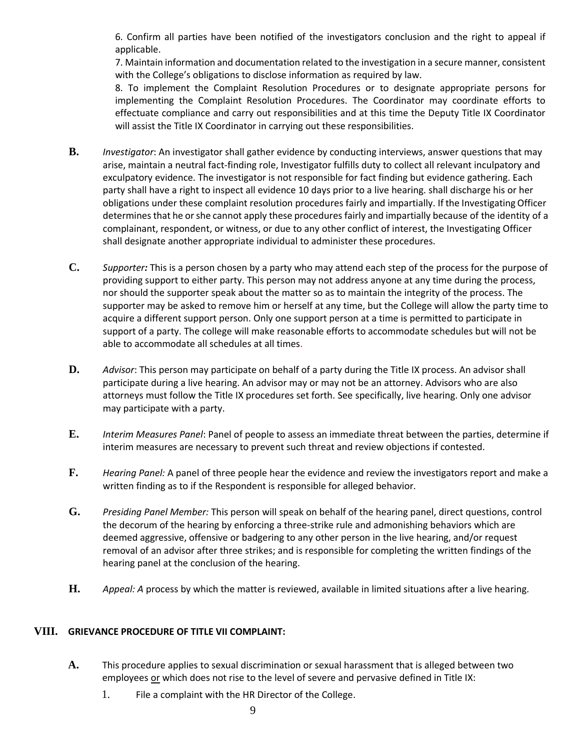6. Confirm all parties have been notified of the investigators conclusion and the right to appeal if applicable.

7. Maintain information and documentation related to the investigation in a secure manner, consistent with the College's obligations to disclose information as required by law.

8. To implement the Complaint Resolution Procedures or to designate appropriate persons for implementing the Complaint Resolution Procedures. The Coordinator may coordinate efforts to effectuate compliance and carry out responsibilities and at this time the Deputy Title IX Coordinator will assist the Title IX Coordinator in carrying out these responsibilities.

- **B.** *Investigator*: An investigator shall gather evidence by conducting interviews, answer questions that may arise, maintain a neutral fact-finding role, Investigator fulfills duty to collect all relevant inculpatory and exculpatory evidence. The investigator is not responsible for fact finding but evidence gathering. Each party shall have a right to inspect all evidence 10 days prior to a live hearing. shall discharge his or her obligations under these complaint resolution procedures fairly and impartially. If the Investigating Officer determines that he orshe cannot apply these procedures fairly and impartially because of the identity of a complainant, respondent, or witness, or due to any other conflict of interest, the Investigating Officer shall designate another appropriate individual to administer these procedures.
- **C.** *Supporter:* This is a person chosen by a party who may attend each step of the process for the purpose of providing support to either party. This person may not address anyone at any time during the process, nor should the supporter speak about the matter so as to maintain the integrity of the process. The supporter may be asked to remove him or herself at any time, but the College will allow the party time to acquire a different support person. Only one support person at a time is permitted to participate in support of a party. The college will make reasonable efforts to accommodate schedules but will not be able to accommodate all schedules at all times.
- **D.** *Advisor*: This person may participate on behalf of a party during the Title IX process. An advisor shall participate during a live hearing. An advisor may or may not be an attorney. Advisors who are also attorneys must follow the Title IX procedures set forth. See specifically, live hearing. Only one advisor may participate with a party.
- **E.** *Interim Measures Panel*: Panel of people to assess an immediate threat between the parties, determine if interim measures are necessary to prevent such threat and review objections if contested.
- **F.** *Hearing Panel:* A panel of three people hear the evidence and review the investigators report and make a written finding as to if the Respondent is responsible for alleged behavior.
- **G.** *Presiding Panel Member:* This person will speak on behalf of the hearing panel, direct questions, control the decorum of the hearing by enforcing a three-strike rule and admonishing behaviors which are deemed aggressive, offensive or badgering to any other person in the live hearing, and/or request removal of an advisor after three strikes; and is responsible for completing the written findings of the hearing panel at the conclusion of the hearing.
- **H.** *Appeal: A* process by which the matter is reviewed, available in limited situations after a live hearing.

## **VIII. GRIEVANCE PROCEDURE OF TITLE VII COMPLAINT:**

- **A.** This procedure applies to sexual discrimination or sexual harassment that is alleged between two employees or which does not rise to the level of severe and pervasive defined in Title IX:
	- 1. File a complaint with the HR Director of the College.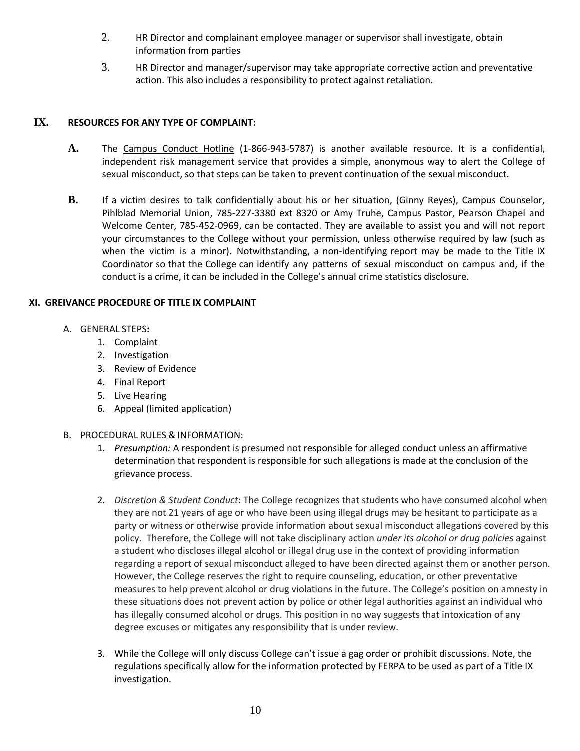- 2. HR Director and complainant employee manager or supervisor shall investigate, obtain information from parties
- 3. HR Director and manager/supervisor may take appropriate corrective action and preventative action. This also includes a responsibility to protect against retaliation.

## **IX. RESOURCES FOR ANY TYPE OF COMPLAINT:**

- **A.** The Campus Conduct Hotline (1-866-943-5787) is another available resource. It is a confidential, independent risk management service that provides a simple, anonymous way to alert the College of sexual misconduct, so that steps can be taken to prevent continuation of the sexual misconduct.
- **B.** If a victim desires to talk confidentially about his or her situation, (Ginny Reyes), Campus Counselor, Pihlblad Memorial Union, 785-227-3380 ext 8320 or Amy Truhe, Campus Pastor, Pearson Chapel and Welcome Center, 785-452-0969, can be contacted. They are available to assist you and will not report your circumstances to the College without your permission, unless otherwise required by law (such as when the victim is a minor). Notwithstanding, a non-identifying report may be made to the Title IX Coordinator so that the College can identify any patterns of sexual misconduct on campus and, if the conduct is a crime, it can be included in the College's annual crime statistics disclosure.

### **XI. GREIVANCE PROCEDURE OF TITLE IX COMPLAINT**

- A. GENERAL STEPS**:** 
	- 1. Complaint
	- 2. Investigation
	- 3. Review of Evidence
	- 4. Final Report
	- 5. Live Hearing
	- 6. Appeal (limited application)
- B. PROCEDURAL RULES & INFORMATION:
	- 1. *Presumption:* A respondent is presumed not responsible for alleged conduct unless an affirmative determination that respondent is responsible for such allegations is made at the conclusion of the grievance process.
	- 2. *Discretion & Student Conduct*: The College recognizes that students who have consumed alcohol when they are not 21 years of age or who have been using illegal drugs may be hesitant to participate as a party or witness or otherwise provide information about sexual misconduct allegations covered by this policy. Therefore, the College will not take disciplinary action *under its alcohol or drug policies* against a student who discloses illegal alcohol or illegal drug use in the context of providing information regarding a report of sexual misconduct alleged to have been directed against them or another person. However, the College reserves the right to require counseling, education, or other preventative measures to help prevent alcohol or drug violations in the future. The College's position on amnesty in these situations does not prevent action by police or other legal authorities against an individual who has illegally consumed alcohol or drugs. This position in no way suggests that intoxication of any degree excuses or mitigates any responsibility that is under review.
	- 3. While the College will only discuss College can't issue a gag order or prohibit discussions. Note, the regulations specifically allow for the information protected by FERPA to be used as part of a Title IX investigation.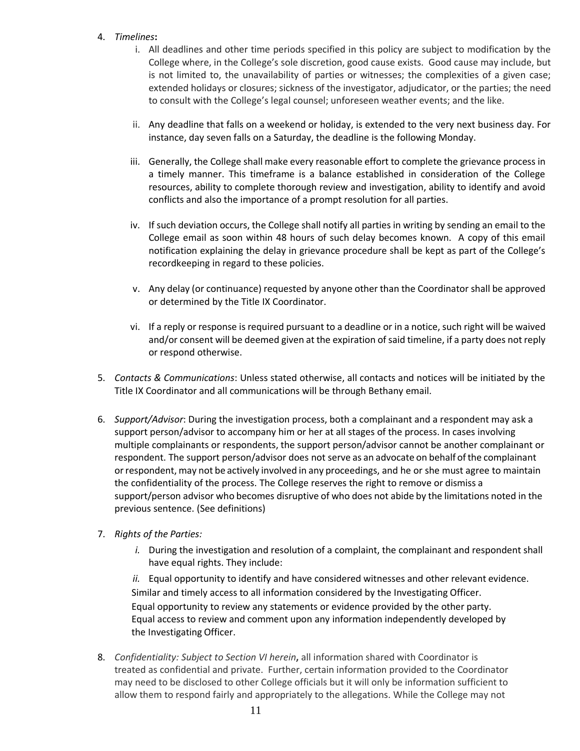#### 4. *Timelines***:**

- i. All deadlines and other time periods specified in this policy are subject to modification by the College where, in the College's sole discretion, good cause exists. Good cause may include, but is not limited to, the unavailability of parties or witnesses; the complexities of a given case; extended holidays or closures; sickness of the investigator, adjudicator, or the parties; the need to consult with the College's legal counsel; unforeseen weather events; and the like.
- ii. Any deadline that falls on a weekend or holiday, is extended to the very next business day. For instance, day seven falls on a Saturday, the deadline is the following Monday.
- iii. Generally, the College shall make every reasonable effort to complete the grievance process in a timely manner. This timeframe is a balance established in consideration of the College resources, ability to complete thorough review and investigation, ability to identify and avoid conflicts and also the importance of a prompt resolution for all parties.
- iv. If such deviation occurs, the College shall notify all parties in writing by sending an email to the College email as soon within 48 hours of such delay becomes known. A copy of this email notification explaining the delay in grievance procedure shall be kept as part of the College's recordkeeping in regard to these policies.
- v. Any delay (or continuance) requested by anyone other than the Coordinator shall be approved or determined by the Title IX Coordinator.
- vi. If a reply or response is required pursuant to a deadline or in a notice, such right will be waived and/or consent will be deemed given at the expiration of said timeline, if a party does not reply or respond otherwise.
- 5. *Contacts & Communications*: Unless stated otherwise, all contacts and notices will be initiated by the Title IX Coordinator and all communications will be through Bethany email.
- 6. *Support/Advisor*: During the investigation process, both a complainant and a respondent may ask a support person/advisor to accompany him or her at all stages of the process. In cases involving multiple complainants or respondents, the support person/advisor cannot be another complainant or respondent. The support person/advisor does not serve as an advocate on behalf ofthe complainant orrespondent, may not be actively involved in any proceedings, and he or she must agree to maintain the confidentiality of the process. The College reserves the right to remove or dismiss a support/person advisor who becomes disruptive of who does not abide by the limitations noted in the previous sentence. (See definitions)
- 7. *Rights of the Parties:*
	- *i.* During the investigation and resolution of a complaint, the complainant and respondent shall have equal rights. They include:

*ii.* Equal opportunity to identify and have considered witnesses and other relevant evidence. Similar and timely access to all information considered by the Investigating Officer. Equal opportunity to review any statements or evidence provided by the other party. Equal access to review and comment upon any information independently developed by the Investigating Officer.

8. *Confidentiality: Subject to Section VI herein***,** all information shared with Coordinator is treated as confidential and private. Further, certain information provided to the Coordinator may need to be disclosed to other College officials but it will only be information sufficient to allow them to respond fairly and appropriately to the allegations. While the College may not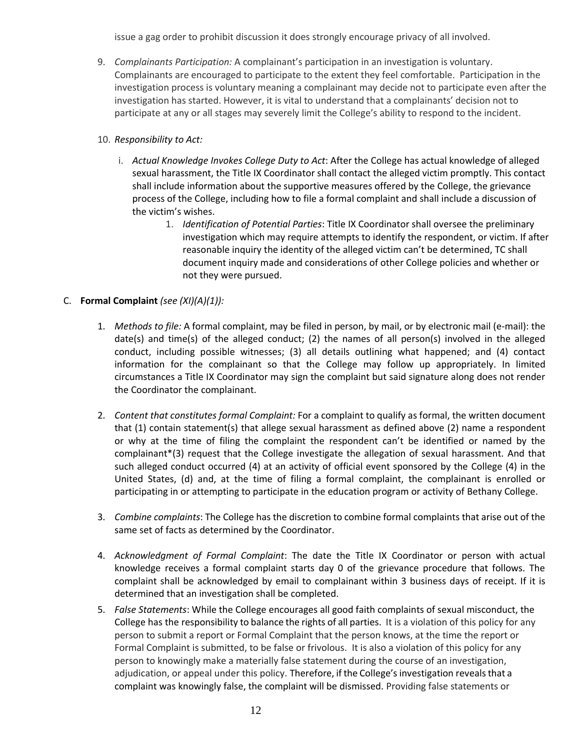issue a gag order to prohibit discussion it does strongly encourage privacy of all involved.

9. *Complainants Participation:* A complainant's participation in an investigation is voluntary. Complainants are encouraged to participate to the extent they feel comfortable. Participation in the investigation process is voluntary meaning a complainant may decide not to participate even after the investigation has started. However, it is vital to understand that a complainants' decision not to participate at any or all stages may severely limit the College's ability to respond to the incident.

## 10. *Responsibility to Act:*

- i. *Actual Knowledge Invokes College Duty to Act*: After the College has actual knowledge of alleged sexual harassment, the Title IX Coordinator shall contact the alleged victim promptly. This contact shall include information about the supportive measures offered by the College, the grievance process of the College, including how to file a formal complaint and shall include a discussion of the victim's wishes.
	- 1. *Identification of Potential Parties*: Title IX Coordinator shall oversee the preliminary investigation which may require attempts to identify the respondent, or victim. If after reasonable inquiry the identity of the alleged victim can't be determined, TC shall document inquiry made and considerations of other College policies and whether or not they were pursued.

## C. **Formal Complaint** *(see (XI)(A)(1)):*

- 1. *Methods to file:* A formal complaint, may be filed in person, by mail, or by electronic mail (e-mail): the date(s) and time(s) of the alleged conduct; (2) the names of all person(s) involved in the alleged conduct, including possible witnesses; (3) all details outlining what happened; and (4) contact information for the complainant so that the College may follow up appropriately. In limited circumstances a Title IX Coordinator may sign the complaint but said signature along does not render the Coordinator the complainant.
- 2. *Content that constitutes formal Complaint:* For a complaint to qualify as formal, the written document that (1) contain statement(s) that allege sexual harassment as defined above (2) name a respondent or why at the time of filing the complaint the respondent can't be identified or named by the complainant\*(3) request that the College investigate the allegation of sexual harassment. And that such alleged conduct occurred (4) at an activity of official event sponsored by the College (4) in the United States, (d) and, at the time of filing a formal complaint, the complainant is enrolled or participating in or attempting to participate in the education program or activity of Bethany College.
- 3. *Combine complaints*: The College has the discretion to combine formal complaints that arise out of the same set of facts as determined by the Coordinator.
- 4. *Acknowledgment of Formal Complaint*: The date the Title IX Coordinator or person with actual knowledge receives a formal complaint starts day 0 of the grievance procedure that follows. The complaint shall be acknowledged by email to complainant within 3 business days of receipt. If it is determined that an investigation shall be completed.
- 5. *False Statements*: While the College encourages all good faith complaints of sexual misconduct, the College has the responsibility to balance the rights of all parties. It is a violation of this policy for any person to submit a report or Formal Complaint that the person knows, at the time the report or Formal Complaint is submitted, to be false or frivolous. It is also a violation of this policy for any person to knowingly make a materially false statement during the course of an investigation, adjudication, or appeal under this policy. Therefore, if the College's investigation reveals that a complaint was knowingly false, the complaint will be dismissed. Providing false statements or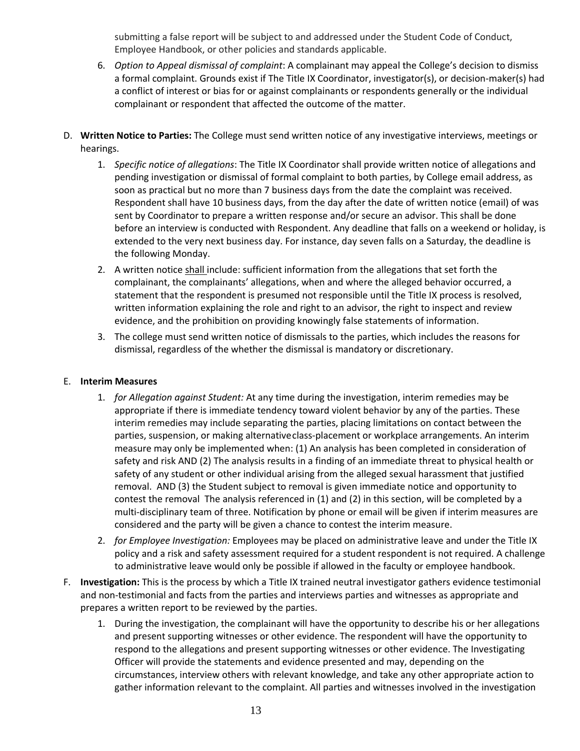submitting a false report will be subject to and addressed under the Student Code of Conduct, Employee Handbook, or other policies and standards applicable.

- 6. *Option to Appeal dismissal of complaint*: A complainant may appeal the College's decision to dismiss a formal complaint. Grounds exist if The Title IX Coordinator, investigator(s), or decision-maker(s) had a conflict of interest or bias for or against complainants or respondents generally or the individual complainant or respondent that affected the outcome of the matter.
- D. **Written Notice to Parties:** The College must send written notice of any investigative interviews, meetings or hearings.
	- 1. *Specific notice of allegations*: The Title IX Coordinator shall provide written notice of allegations and pending investigation or dismissal of formal complaint to both parties, by College email address, as soon as practical but no more than 7 business days from the date the complaint was received. Respondent shall have 10 business days, from the day after the date of written notice (email) of was sent by Coordinator to prepare a written response and/or secure an advisor. This shall be done before an interview is conducted with Respondent. Any deadline that falls on a weekend or holiday, is extended to the very next business day. For instance, day seven falls on a Saturday, the deadline is the following Monday.
	- 2. A written notice shall include: sufficient information from the allegations that set forth the complainant, the complainants' allegations, when and where the alleged behavior occurred, a statement that the respondent is presumed not responsible until the Title IX process is resolved, written information explaining the role and right to an advisor, the right to inspect and review evidence, and the prohibition on providing knowingly false statements of information.
	- 3. The college must send written notice of dismissals to the parties, which includes the reasons for dismissal, regardless of the whether the dismissal is mandatory or discretionary.

#### E. **Interim Measures**

- 1. *for Allegation against Student:* At any time during the investigation, interim remedies may be appropriate if there is immediate tendency toward violent behavior by any of the parties. These interim remedies may include separating the parties, placing limitations on contact between the parties, suspension, or making alternativeclass-placement or workplace arrangements. An interim measure may only be implemented when: (1) An analysis has been completed in consideration of safety and risk AND (2) The analysis results in a finding of an immediate threat to physical health or safety of any student or other individual arising from the alleged sexual harassment that justified removal. AND (3) the Student subject to removal is given immediate notice and opportunity to contest the removal The analysis referenced in (1) and (2) in this section, will be completed by a multi-disciplinary team of three. Notification by phone or email will be given if interim measures are considered and the party will be given a chance to contest the interim measure.
- 2. *for Employee Investigation:* Employees may be placed on administrative leave and under the Title IX policy and a risk and safety assessment required for a student respondent is not required. A challenge to administrative leave would only be possible if allowed in the faculty or employee handbook.
- F. **Investigation:** This is the process by which a Title IX trained neutral investigator gathers evidence testimonial and non-testimonial and facts from the parties and interviews parties and witnesses as appropriate and prepares a written report to be reviewed by the parties.
	- 1. During the investigation, the complainant will have the opportunity to describe his or her allegations and present supporting witnesses or other evidence. The respondent will have the opportunity to respond to the allegations and present supporting witnesses or other evidence. The Investigating Officer will provide the statements and evidence presented and may, depending on the circumstances, interview others with relevant knowledge, and take any other appropriate action to gather information relevant to the complaint. All parties and witnesses involved in the investigation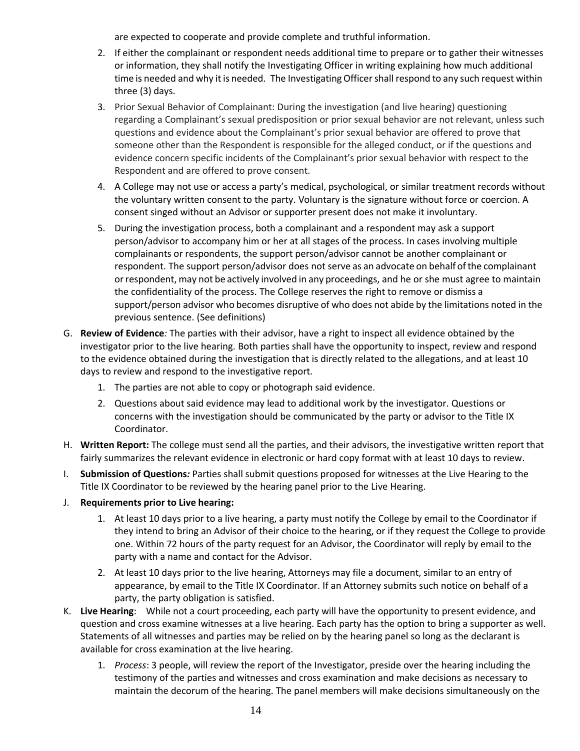are expected to cooperate and provide complete and truthful information.

- 2. If either the complainant or respondent needs additional time to prepare or to gather their witnesses or information, they shall notify the Investigating Officer in writing explaining how much additional time is needed and why it is needed. The InvestigatingOfficershall respond to any such request within three (3) days.
- 3. Prior Sexual Behavior of Complainant: During the investigation (and live hearing) questioning regarding a Complainant's sexual predisposition or prior sexual behavior are not relevant, unless such questions and evidence about the Complainant's prior sexual behavior are offered to prove that someone other than the Respondent is responsible for the alleged conduct, or if the questions and evidence concern specific incidents of the Complainant's prior sexual behavior with respect to the Respondent and are offered to prove consent.
- 4. A College may not use or access a party's medical, psychological, or similar treatment records without the voluntary written consent to the party. Voluntary is the signature without force or coercion. A consent singed without an Advisor or supporter present does not make it involuntary.
- 5. During the investigation process, both a complainant and a respondent may ask a support person/advisor to accompany him or her at all stages of the process. In cases involving multiple complainants or respondents, the support person/advisor cannot be another complainant or respondent. The support person/advisor does not serve as an advocate on behalf ofthe complainant orrespondent, may not be actively involved in any proceedings, and he or she must agree to maintain the confidentiality of the process. The College reserves the right to remove or dismiss a support/person advisor who becomes disruptive of who does not abide by the limitations noted in the previous sentence. (See definitions)
- G. **Review of Evidence***:* The parties with their advisor, have a right to inspect all evidence obtained by the investigator prior to the live hearing. Both parties shall have the opportunity to inspect, review and respond to the evidence obtained during the investigation that is directly related to the allegations, and at least 10 days to review and respond to the investigative report.
	- 1. The parties are not able to copy or photograph said evidence.
	- 2. Questions about said evidence may lead to additional work by the investigator. Questions or concerns with the investigation should be communicated by the party or advisor to the Title IX Coordinator.
- H. **Written Report:** The college must send all the parties, and their advisors, the investigative written report that fairly summarizes the relevant evidence in electronic or hard copy format with at least 10 days to review.
- I. **Submission of Questions***:* Parties shall submit questions proposed for witnesses at the Live Hearing to the Title IX Coordinator to be reviewed by the hearing panel prior to the Live Hearing.
- J. **Requirements prior to Live hearing:**
	- 1. At least 10 days prior to a live hearing, a party must notify the College by email to the Coordinator if they intend to bring an Advisor of their choice to the hearing, or if they request the College to provide one. Within 72 hours of the party request for an Advisor, the Coordinator will reply by email to the party with a name and contact for the Advisor.
	- 2. At least 10 days prior to the live hearing, Attorneys may file a document, similar to an entry of appearance, by email to the Title IX Coordinator. If an Attorney submits such notice on behalf of a party, the party obligation is satisfied.
- K. **Live Hearing**: While not a court proceeding, each party will have the opportunity to present evidence, and question and cross examine witnesses at a live hearing. Each party has the option to bring a supporter as well. Statements of all witnesses and parties may be relied on by the hearing panel so long as the declarant is available for cross examination at the live hearing.
	- 1. *Process*: 3 people, will review the report of the Investigator, preside over the hearing including the testimony of the parties and witnesses and cross examination and make decisions as necessary to maintain the decorum of the hearing. The panel members will make decisions simultaneously on the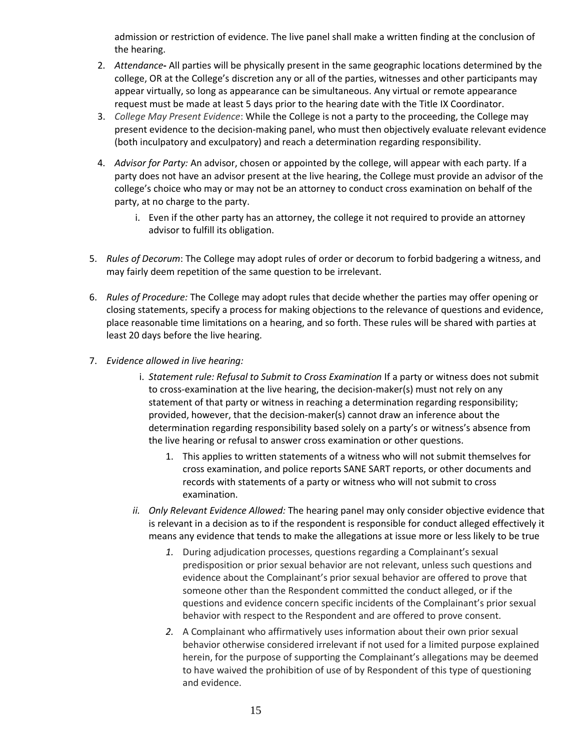admission or restriction of evidence. The live panel shall make a written finding at the conclusion of the hearing.

- 2. *Attendance***-** All parties will be physically present in the same geographic locations determined by the college, OR at the College's discretion any or all of the parties, witnesses and other participants may appear virtually, so long as appearance can be simultaneous. Any virtual or remote appearance request must be made at least 5 days prior to the hearing date with the Title IX Coordinator.
- 3. *College May Present Evidence*: While the College is not a party to the proceeding, the College may present evidence to the decision-making panel, who must then objectively evaluate relevant evidence (both inculpatory and exculpatory) and reach a determination regarding responsibility.
- 4. *Advisor for Party:* An advisor, chosen or appointed by the college, will appear with each party. If a party does not have an advisor present at the live hearing, the College must provide an advisor of the college's choice who may or may not be an attorney to conduct cross examination on behalf of the party, at no charge to the party.
	- i. Even if the other party has an attorney, the college it not required to provide an attorney advisor to fulfill its obligation.
- 5. *Rules of Decorum*: The College may adopt rules of order or decorum to forbid badgering a witness, and may fairly deem repetition of the same question to be irrelevant.
- 6. *Rules of Procedure:* The College may adopt rules that decide whether the parties may offer opening or closing statements, specify a process for making objections to the relevance of questions and evidence, place reasonable time limitations on a hearing, and so forth. These rules will be shared with parties at least 20 days before the live hearing.
- 7. *Evidence allowed in live hearing:* 
	- i. *Statement rule: Refusal to Submit to Cross Examination* If a party or witness does not submit to cross-examination at the live hearing, the decision-maker(s) must not rely on any statement of that party or witness in reaching a determination regarding responsibility; provided, however, that the decision-maker(s) cannot draw an inference about the determination regarding responsibility based solely on a party's or witness's absence from the live hearing or refusal to answer cross examination or other questions.
		- 1. This applies to written statements of a witness who will not submit themselves for cross examination, and police reports SANE SART reports, or other documents and records with statements of a party or witness who will not submit to cross examination.
	- *ii. Only Relevant Evidence Allowed:* The hearing panel may only consider objective evidence that is relevant in a decision as to if the respondent is responsible for conduct alleged effectively it means any evidence that tends to make the allegations at issue more or less likely to be true
		- *1.* During adjudication processes, questions regarding a Complainant's sexual predisposition or prior sexual behavior are not relevant, unless such questions and evidence about the Complainant's prior sexual behavior are offered to prove that someone other than the Respondent committed the conduct alleged, or if the questions and evidence concern specific incidents of the Complainant's prior sexual behavior with respect to the Respondent and are offered to prove consent.
		- *2.* A Complainant who affirmatively uses information about their own prior sexual behavior otherwise considered irrelevant if not used for a limited purpose explained herein, for the purpose of supporting the Complainant's allegations may be deemed to have waived the prohibition of use of by Respondent of this type of questioning and evidence.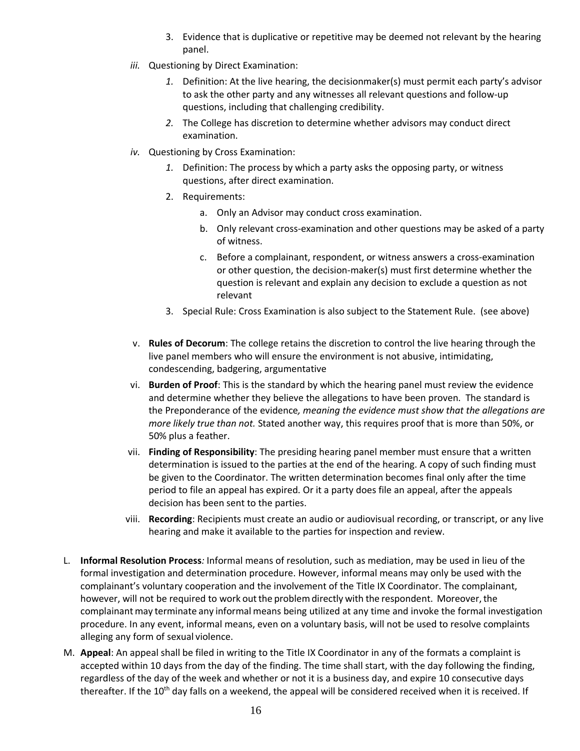- 3. Evidence that is duplicative or repetitive may be deemed not relevant by the hearing panel.
- *iii.* Questioning by Direct Examination:
	- *1.* Definition: At the live hearing, the decisionmaker(s) must permit each party's advisor to ask the other party and any witnesses all relevant questions and follow-up questions, including that challenging credibility.
	- *2.* The College has discretion to determine whether advisors may conduct direct examination.
- *iv.* Questioning by Cross Examination:
	- *1.* Definition: The process by which a party asks the opposing party, or witness questions, after direct examination.
	- 2. Requirements:
		- a. Only an Advisor may conduct cross examination.
		- b. Only relevant cross-examination and other questions may be asked of a party of witness.
		- c. Before a complainant, respondent, or witness answers a cross-examination or other question, the decision-maker(s) must first determine whether the question is relevant and explain any decision to exclude a question as not relevant
	- 3. Special Rule: Cross Examination is also subject to the Statement Rule. (see above)
- v. **Rules of Decorum**: The college retains the discretion to control the live hearing through the live panel members who will ensure the environment is not abusive, intimidating, condescending, badgering, argumentative
- vi. **Burden of Proof**: This is the standard by which the hearing panel must review the evidence and determine whether they believe the allegations to have been proven. The standard is the Preponderance of the evidence*, meaning the evidence must show that the allegations are more likely true than not.* Stated another way, this requires proof that is more than 50%, or 50% plus a feather.
- vii. **Finding of Responsibility**: The presiding hearing panel member must ensure that a written determination is issued to the parties at the end of the hearing. A copy of such finding must be given to the Coordinator. The written determination becomes final only after the time period to file an appeal has expired. Or it a party does file an appeal, after the appeals decision has been sent to the parties.
- viii. **Recording**: Recipients must create an audio or audiovisual recording, or transcript, or any live hearing and make it available to the parties for inspection and review.
- L. **Informal Resolution Process***:* Informal means of resolution, such as mediation, may be used in lieu of the formal investigation and determination procedure. However, informal means may only be used with the complainant's voluntary cooperation and the involvement of the Title IX Coordinator. The complainant, however, will not be required to work out the problem directly with the respondent. Moreover, the complainant may terminate any informal means being utilized at any time and invoke the formal investigation procedure. In any event, informal means, even on a voluntary basis, will not be used to resolve complaints alleging any form of sexual violence.
- M. **Appeal**: An appeal shall be filed in writing to the Title IX Coordinator in any of the formats a complaint is accepted within 10 days from the day of the finding. The time shall start, with the day following the finding, regardless of the day of the week and whether or not it is a business day, and expire 10 consecutive days thereafter. If the 10<sup>th</sup> day falls on a weekend, the appeal will be considered received when it is received. If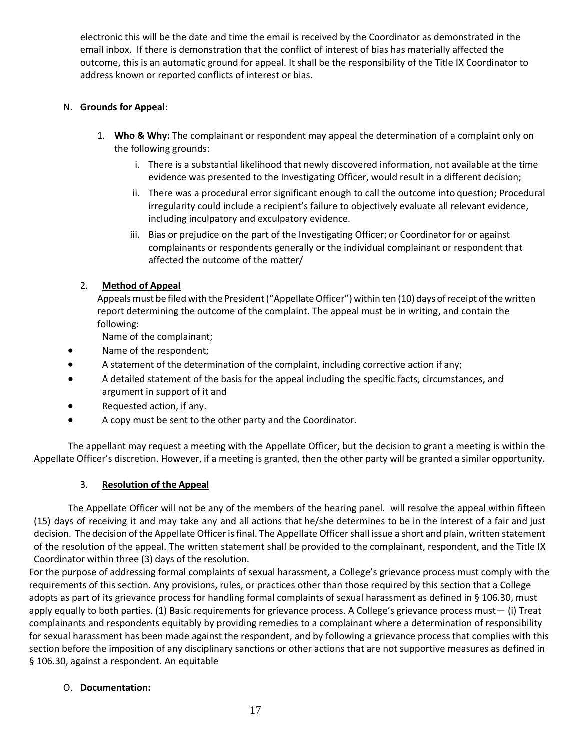electronic this will be the date and time the email is received by the Coordinator as demonstrated in the email inbox. If there is demonstration that the conflict of interest of bias has materially affected the outcome, this is an automatic ground for appeal. It shall be the responsibility of the Title IX Coordinator to address known or reported conflicts of interest or bias.

## N. **Grounds for Appeal**:

- 1. **Who & Why:** The complainant or respondent may appeal the determination of a complaint only on the following grounds:
	- i. There is a substantial likelihood that newly discovered information, not available at the time evidence was presented to the Investigating Officer, would result in a different decision;
	- ii. There was a procedural error significant enough to call the outcome into question; Procedural irregularity could include a recipient's failure to objectively evaluate all relevant evidence, including inculpatory and exculpatory evidence.
	- iii. Bias or prejudice on the part of the Investigating Officer; or Coordinator for or against complainants or respondents generally or the individual complainant or respondent that affected the outcome of the matter/

### 2. **Method of Appeal**

Appeals must be filed with the President ("Appellate Officer") within ten (10) days of receipt of the written report determining the outcome of the complaint. The appeal must be in writing, and contain the following:

Name of the complainant;

- Name of the respondent;
- A statement of the determination of the complaint, including corrective action if any;
- A detailed statement of the basis for the appeal including the specific facts, circumstances, and argument in support of it and
- Requested action, if any.
- A copy must be sent to the other party and the Coordinator.

The appellant may request a meeting with the Appellate Officer, but the decision to grant a meeting is within the Appellate Officer's discretion. However, if a meeting is granted, then the other party will be granted a similar opportunity.

#### 3. **Resolution of the Appeal**

The Appellate Officer will not be any of the members of the hearing panel. will resolve the appeal within fifteen (15) days of receiving it and may take any and all actions that he/she determines to be in the interest of a fair and just decision. The decision ofthe Appellate Officer is final. The Appellate Officer shall issue a short and plain, written statement of the resolution of the appeal. The written statement shall be provided to the complainant, respondent, and the Title IX Coordinator within three (3) days of the resolution.

For the purpose of addressing formal complaints of sexual harassment, a College's grievance process must comply with the requirements of this section. Any provisions, rules, or practices other than those required by this section that a College adopts as part of its grievance process for handling formal complaints of sexual harassment as defined in § 106.30, must apply equally to both parties. (1) Basic requirements for grievance process. A College's grievance process must— (i) Treat complainants and respondents equitably by providing remedies to a complainant where a determination of responsibility for sexual harassment has been made against the respondent, and by following a grievance process that complies with this section before the imposition of any disciplinary sanctions or other actions that are not supportive measures as defined in § 106.30, against a respondent. An equitable

#### O. **Documentation:**